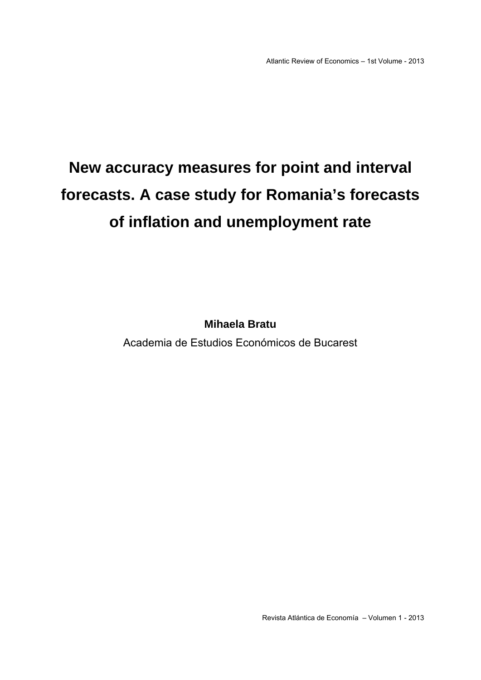## **New accuracy measures for point and interval forecasts. A case study for Romania's forecasts of inflation and unemployment rate**

**Mihaela Bratu** 

Academia de Estudios Económicos de Bucarest

Revista Atlántica de Economía – Volumen 1 - 2013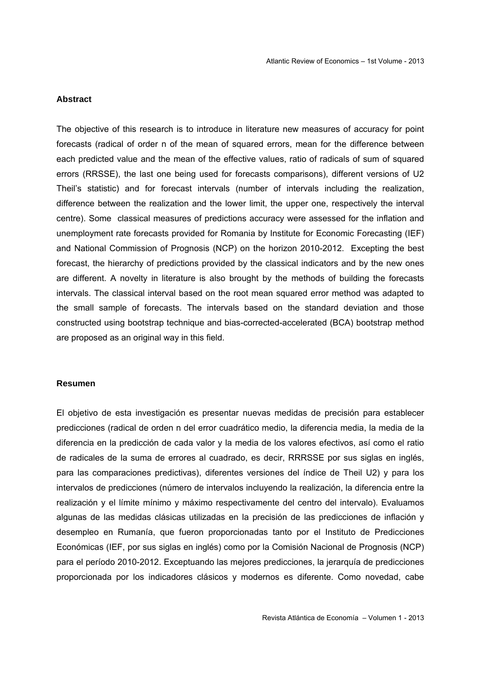#### **Abstract**

The objective of this research is to introduce in literature new measures of accuracy for point forecasts (radical of order n of the mean of squared errors, mean for the difference between each predicted value and the mean of the effective values, ratio of radicals of sum of squared errors (RRSSE), the last one being used for forecasts comparisons), different versions of U2 Theil's statistic) and for forecast intervals (number of intervals including the realization, difference between the realization and the lower limit, the upper one, respectively the interval centre). Some classical measures of predictions accuracy were assessed for the inflation and unemployment rate forecasts provided for Romania by Institute for Economic Forecasting (IEF) and National Commission of Prognosis (NCP) on the horizon 2010-2012. Excepting the best forecast, the hierarchy of predictions provided by the classical indicators and by the new ones are different. A novelty in literature is also brought by the methods of building the forecasts intervals. The classical interval based on the root mean squared error method was adapted to the small sample of forecasts. The intervals based on the standard deviation and those constructed using bootstrap technique and bias-corrected-accelerated (BCA) bootstrap method are proposed as an original way in this field.

#### **Resumen**

El objetivo de esta investigación es presentar nuevas medidas de precisión para establecer predicciones (radical de orden n del error cuadrático medio, la diferencia media, la media de la diferencia en la predicción de cada valor y la media de los valores efectivos, así como el ratio de radicales de la suma de errores al cuadrado, es decir, RRRSSE por sus siglas en inglés, para las comparaciones predictivas), diferentes versiones del índice de Theil U2) y para los intervalos de predicciones (número de intervalos incluyendo la realización, la diferencia entre la realización y el límite mínimo y máximo respectivamente del centro del intervalo). Evaluamos algunas de las medidas clásicas utilizadas en la precisión de las predicciones de inflación y desempleo en Rumanía, que fueron proporcionadas tanto por el Instituto de Predicciones Económicas (IEF, por sus siglas en inglés) como por la Comisión Nacional de Prognosis (NCP) para el período 2010-2012. Exceptuando las mejores predicciones, la jerarquía de predicciones proporcionada por los indicadores clásicos y modernos es diferente. Como novedad, cabe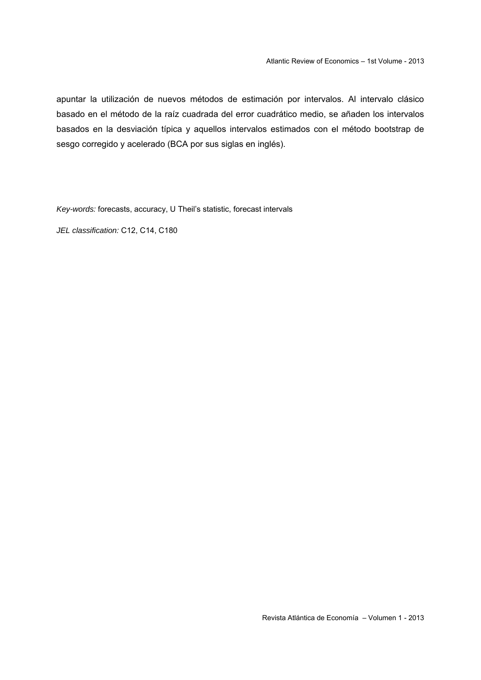apuntar la utilización de nuevos métodos de estimación por intervalos. Al intervalo clásico basado en el método de la raíz cuadrada del error cuadrático medio, se añaden los intervalos basados en la desviación típica y aquellos intervalos estimados con el método bootstrap de sesgo corregido y acelerado (BCA por sus siglas en inglés).

*Key-words:* forecasts, accuracy, U Theil's statistic, forecast intervals

*JEL classification:* C12, C14, C180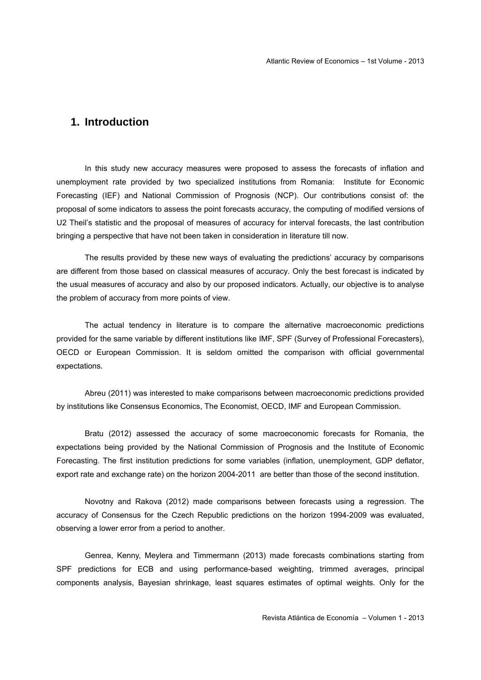#### **1. Introduction**

 In this study new accuracy measures were proposed to assess the forecasts of inflation and unemployment rate provided by two specialized institutions from Romania: Institute for Economic Forecasting (IEF) and National Commission of Prognosis (NCP). Our contributions consist of: the proposal of some indicators to assess the point forecasts accuracy, the computing of modified versions of U2 Theil's statistic and the proposal of measures of accuracy for interval forecasts, the last contribution bringing a perspective that have not been taken in consideration in literature till now.

The results provided by these new ways of evaluating the predictions' accuracy by comparisons are different from those based on classical measures of accuracy. Only the best forecast is indicated by the usual measures of accuracy and also by our proposed indicators. Actually, our objective is to analyse the problem of accuracy from more points of view.

The actual tendency in literature is to compare the alternative macroeconomic predictions provided for the same variable by different institutions like IMF, SPF (Survey of Professional Forecasters), OECD or European Commission. It is seldom omitted the comparison with official governmental expectations.

Abreu (2011) was interested to make comparisons between macroeconomic predictions provided by institutions like Consensus Economics, The Economist, OECD, IMF and European Commission.

Bratu (2012) assessed the accuracy of some macroeconomic forecasts for Romania, the expectations being provided by the National Commission of Prognosis and the Institute of Economic Forecasting. The first institution predictions for some variables (inflation, unemployment, GDP deflator, export rate and exchange rate) on the horizon 2004-2011 are better than those of the second institution.

Novotny and Rakova (2012) made comparisons between forecasts using a regression. The accuracy of Consensus for the Czech Republic predictions on the horizon 1994-2009 was evaluated, observing a lower error from a period to another.

Genrea, Kenny, Meylera and Timmermann (2013) made forecasts combinations starting from SPF predictions for ECB and using performance-based weighting, trimmed averages, principal components analysis, Bayesian shrinkage, least squares estimates of optimal weights. Only for the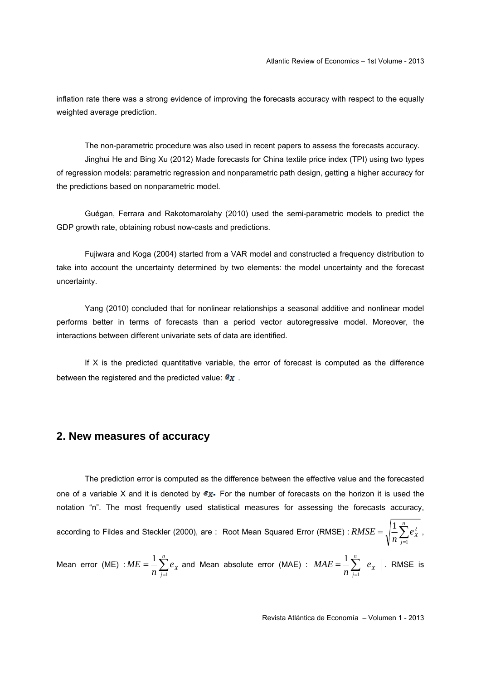inflation rate there was a strong evidence of improving the forecasts accuracy with respect to the equally weighted average prediction.

The non-parametric procedure was also used in recent papers to assess the forecasts accuracy. Jinghui He and Bing Xu (2012) Made forecasts for China textile price index (TPI) using two types of regression models: parametric regression and nonparametric path design, getting a higher accuracy for the predictions based on nonparametric model.

Guégan, Ferrara and Rakotomarolahy (2010) used the semi-parametric models to predict the GDP growth rate, obtaining robust now-casts and predictions.

Fujiwara and Koga (2004) started from a VAR model and constructed a frequency distribution to take into account the uncertainty determined by two elements: the model uncertainty and the forecast uncertainty.

Yang (2010) concluded that for nonlinear relationships a seasonal additive and nonlinear model performs better in terms of forecasts than a period vector autoregressive model. Moreover, the interactions between different univariate sets of data are identified.

If  $X$  is the predicted quantitative variable, the error of forecast is computed as the difference between the registered and the predicted value:  $\mathbf{e}_X$ .

#### **2. New measures of accuracy**

 The prediction error is computed as the difference between the effective value and the forecasted one of a variable X and it is denoted by  $g_X$ . For the number of forecasts on the horizon it is used the notation "n". The most frequently used statistical measures for assessing the forecasts accuracy, according to Fildes and Steckler (2000), are: Root Mean Squared Error (RMSE) :  $RMSE = \sqrt{\frac{1}{n}\sum_{j=1}^{n}}$ *j*  $\frac{1}{n}\sum_{i=1}^{n}e_{X}^{2}$ *RMSE* 1  $\frac{1}{2} \sum_{i=1}^{n} e_{x}^{2}$ ,

Mean error (ME) : $ME = \frac{1}{n} \sum_{j=1}^{n}$ *j*  $\frac{1}{n}\sum_{i=1}^{n}e_{X}$ *ME* 1  $\frac{1}{n}\sum_{j=1}^{n}e_{X}$  and Mean absolute error (MAE) :  $MAE = \frac{1}{n}\sum_{j=1}^{n}$ *j*  $\frac{1}{n}\sum_{i=1}^n\left|e_{x_i}\right|$ *MAE* 1  $\frac{1}{2}\sum_{1}^{n}$   $\mid e_{X} \mid$  . RMSE is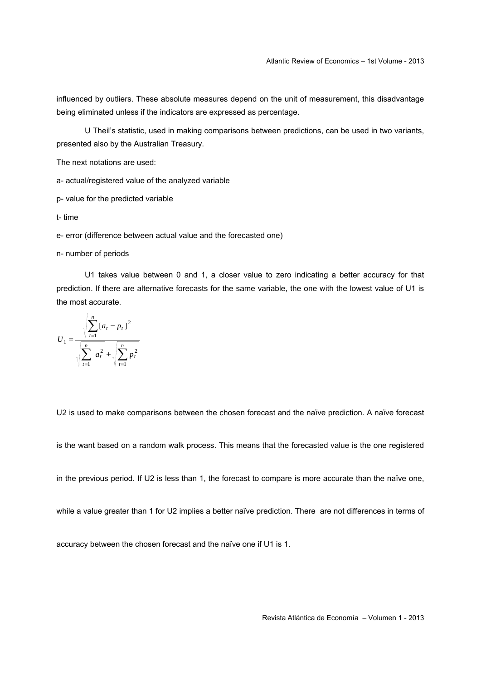influenced by outliers. These absolute measures depend on the unit of measurement, this disadvantage being eliminated unless if the indicators are expressed as percentage.

U Theil's statistic, used in making comparisons between predictions, can be used in two variants, presented also by the Australian Treasury.

The next notations are used:

a- actual/registered value of the analyzed variable

p- value for the predicted variable

t- time

e- error (difference between actual value and the forecasted one)

n- number of periods

U1 takes value between 0 and 1, a closer value to zero indicating a better accuracy for that prediction. If there are alternative forecasts for the same variable, the one with the lowest value of U1 is the most accurate.

$$
U_1 = \frac{\sqrt{\sum_{t=1}^{n} [a_t - p_t]^2}}{\sqrt{\sum_{t=1}^{n} a_t^2} + \sqrt{\sum_{t=1}^{n} p_t^2}}
$$

U2 is used to make comparisons between the chosen forecast and the naïve prediction. A naïve forecast

is the want based on a random walk process. This means that the forecasted value is the one registered

in the previous period. If U2 is less than 1, the forecast to compare is more accurate than the naïve one,

while a value greater than 1 for U2 implies a better naïve prediction. There are not differences in terms of

accuracy between the chosen forecast and the naïve one if U1 is 1.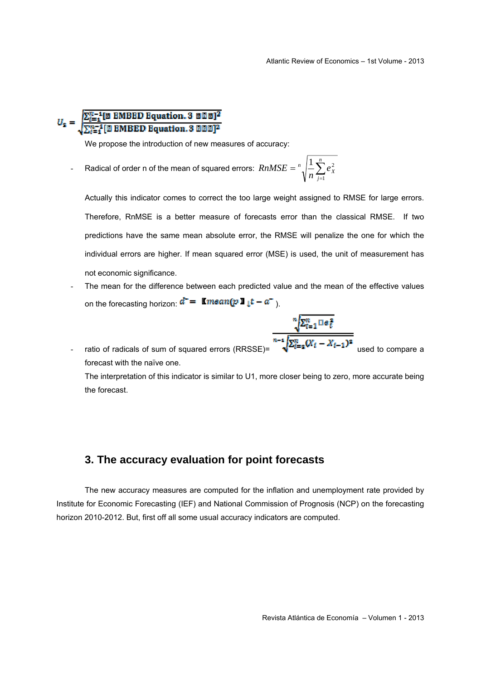# $U_2 = \sqrt{\sum_{i=1}^{n-1} [\boxtimes \text{ MBED Equation}, 3 \text{ B0B}]^2}$

We propose the introduction of new measures of accuracy:

- Radical of order n of the mean of squared errors:  $\mathit{RnMSE} = \sqrt[n]{\frac{1}{n}\sum_{j=1}^{n}}$ *j*  $\left| \int_{0}^{n} \right| \frac{1}{x} \sum e_{X}^{2}$ *n RnMSE* 1  $1 \sum_{n=2}^n$ 

Actually this indicator comes to correct the too large weight assigned to RMSE for large errors. Therefore, RnMSE is a better measure of forecasts error than the classical RMSE. If two predictions have the same mean absolute error, the RMSE will penalize the one for which the individual errors are higher. If mean squared error (MSE) is used, the unit of measurement has not economic significance.

- The mean for the difference between each predicted value and the mean of the effective values on the forecasting horizon:  $d^{\dagger} = \text{Im} \tan(p \mathbf{1} \mathbf{1} t - a^{\dagger})$ .
- $\frac{\sqrt[n]{\sum_{t=1}^{n} \text{Re}_{t}^{2}}}{\sqrt{\sum_{t=2}^{n} (X_{t} X_{t-1})^{2}}}$  ratio of radicals of sum of squared errors (RRSSE)= forecast with the naïve one. The interpretation of this indicator is similar to U1, more closer being to zero, more accurate being the forecast.

#### **3. The accuracy evaluation for point forecasts**

The new accuracy measures are computed for the inflation and unemployment rate provided by Institute for Economic Forecasting (IEF) and National Commission of Prognosis (NCP) on the forecasting horizon 2010-2012. But, first off all some usual accuracy indicators are computed.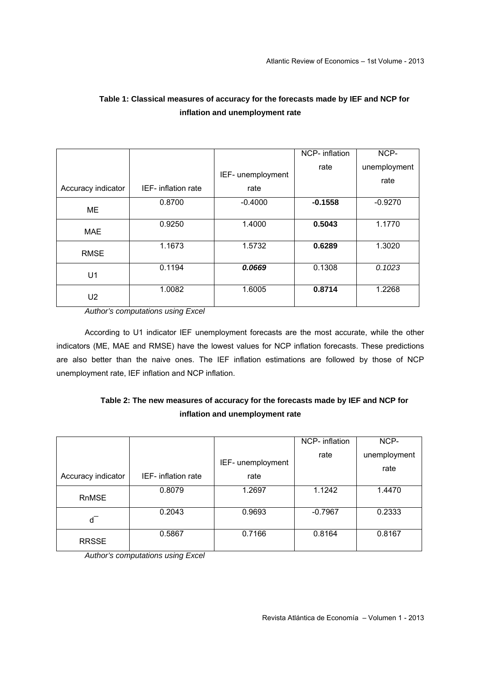|                    |                     |                   | NCP- inflation | NCP-         |
|--------------------|---------------------|-------------------|----------------|--------------|
|                    |                     |                   | rate           | unemployment |
|                    |                     | IEF- unemployment |                | rate         |
| Accuracy indicator | IEF- inflation rate | rate              |                |              |
|                    | 0.8700              | $-0.4000$         | $-0.1558$      | $-0.9270$    |
| ME                 |                     |                   |                |              |
| <b>MAE</b>         | 0.9250              | 1.4000            | 0.5043         | 1.1770       |
|                    |                     |                   |                |              |
| <b>RMSE</b>        | 1.1673              | 1.5732            | 0.6289         | 1.3020       |
|                    |                     |                   |                |              |
| U1                 | 0.1194              | 0.0669            | 0.1308         | 0.1023       |
|                    |                     |                   |                |              |
| U <sub>2</sub>     | 1.0082              | 1.6005            | 0.8714         | 1.2268       |
|                    |                     |                   |                |              |

## **Table 1: Classical measures of accuracy for the forecasts made by IEF and NCP for inflation and unemployment rate**

*Author's computations using Excel* 

According to U1 indicator IEF unemployment forecasts are the most accurate, while the other indicators (ME, MAE and RMSE) have the lowest values for NCP inflation forecasts. These predictions are also better than the naive ones. The IEF inflation estimations are followed by those of NCP unemployment rate, IEF inflation and NCP inflation.

## **Table 2: The new measures of accuracy for the forecasts made by IEF and NCP for inflation and unemployment rate**

|                    |                     |                           | NCP- inflation | NCP-                 |
|--------------------|---------------------|---------------------------|----------------|----------------------|
| Accuracy indicator | IEF- inflation rate | IEF- unemployment<br>rate | rate           | unemployment<br>rate |
| <b>RnMSE</b>       | 0.8079              | 1.2697                    | 1.1242         | 1.4470               |
| d                  | 0.2043              | 0.9693                    | $-0.7967$      | 0.2333               |
| <b>RRSSE</b>       | 0.5867              | 0.7166                    | 0.8164         | 0.8167               |

*Author's computations using Excel*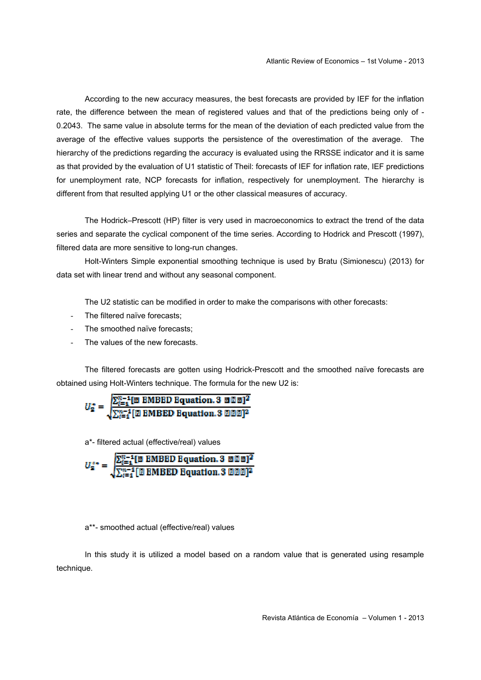According to the new accuracy measures, the best forecasts are provided by IEF for the inflation rate, the difference between the mean of registered values and that of the predictions being only of - 0.2043. The same value in absolute terms for the mean of the deviation of each predicted value from the average of the effective values supports the persistence of the overestimation of the average. The hierarchy of the predictions regarding the accuracy is evaluated using the RRSSE indicator and it is same as that provided by the evaluation of U1 statistic of Theil: forecasts of IEF for inflation rate, IEF predictions for unemployment rate, NCP forecasts for inflation, respectively for unemployment. The hierarchy is different from that resulted applying U1 or the other classical measures of accuracy.

The Hodrick–Prescott (HP) filter is very used in macroeconomics to extract the trend of the data series and separate the cyclical component of the time series. According to Hodrick and Prescott (1997), filtered data are more sensitive to long-run changes.

Holt-Winters Simple exponential smoothing technique is used by Bratu (Simionescu) (2013) for data set with linear trend and without any seasonal component.

The U2 statistic can be modified in order to make the comparisons with other forecasts:

- The filtered naïve forecasts;
- The smoothed naïve forecasts:
- The values of the new forecasts.

The filtered forecasts are gotten using Hodrick-Prescott and the smoothed naïve forecasts are obtained using Holt-Winters technique. The formula for the new U2 is:

$$
U_2^* = \sqrt{\sum_{i=1}^{n-1} [\boxtimes \text{ MBED Equation. 3 } \boxtimes \boxtimes \boxtimes]^2}
$$

$$
\sqrt{\sum_{i=1}^{n-1} [\boxtimes \text{ MBED Equation. 3 } \boxtimes \boxtimes \boxtimes]^2}
$$

a\*- filtered actual (effective/real) values

$$
U_2^{**} = \sqrt{\sum_{i=1}^{n-1} [\mathbb{Z} \text{ IMBED Equation.3 BDE}]^2}
$$

$$
\sqrt{\sum_{i=1}^{n-1} [\mathbb{Z} \text{ IMBED Equation.3 BDE}]^2}
$$

a\*\*- smoothed actual (effective/real) values

In this study it is utilized a model based on a random value that is generated using resample technique.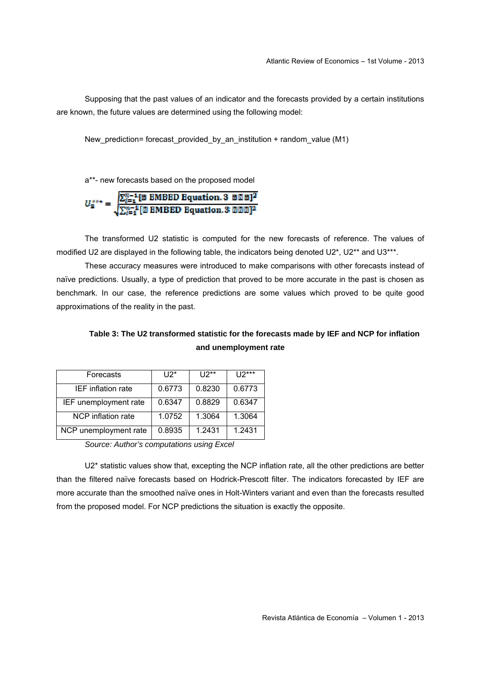Supposing that the past values of an indicator and the forecasts provided by a certain institutions are known, the future values are determined using the following model:

New prediction= forecast provided by an institution + random value (M1)

a\*\*- new forecasts based on the proposed model

$$
U_2^{***} = \sqrt{\frac{\sum_{l=1}^{n-1} [\boxtimes \text{IMBED Equation. 3 } \boxtimes \boxtimes \boxtimes]^2}{\sum_{l=1}^{n-1} [\boxtimes \text{IMBED Equation. 3 } \boxtimes \boxtimes \boxtimes]^2}}
$$

The transformed U2 statistic is computed for the new forecasts of reference. The values of modified U2 are displayed in the following table, the indicators being denoted U2\*, U2\*\* and U3\*\*\*.

These accuracy measures were introduced to make comparisons with other forecasts instead of naïve predictions. Usually, a type of prediction that proved to be more accurate in the past is chosen as benchmark. In our case, the reference predictions are some values which proved to be quite good approximations of the reality in the past.

#### **Table 3: The U2 transformed statistic for the forecasts made by IEF and NCP for inflation and unemployment rate**

| Forecasts                 | $112*$ | $112**$ | $U2***$ |
|---------------------------|--------|---------|---------|
| <b>IEF</b> inflation rate | 0.6773 | 0.8230  | 0.6773  |
| IEF unemployment rate     | 0.6347 | 0.8829  | 0.6347  |
| NCP inflation rate        | 1.0752 | 1.3064  | 1.3064  |
| NCP unemployment rate     | 0.8935 | 1.2431  | 1.2431  |

*Source: Author's computations using Excel* 

U2\* statistic values show that, excepting the NCP inflation rate, all the other predictions are better than the filtered naïve forecasts based on Hodrick-Prescott filter. The indicators forecasted by IEF are more accurate than the smoothed naïve ones in Holt-Winters variant and even than the forecasts resulted from the proposed model. For NCP predictions the situation is exactly the opposite.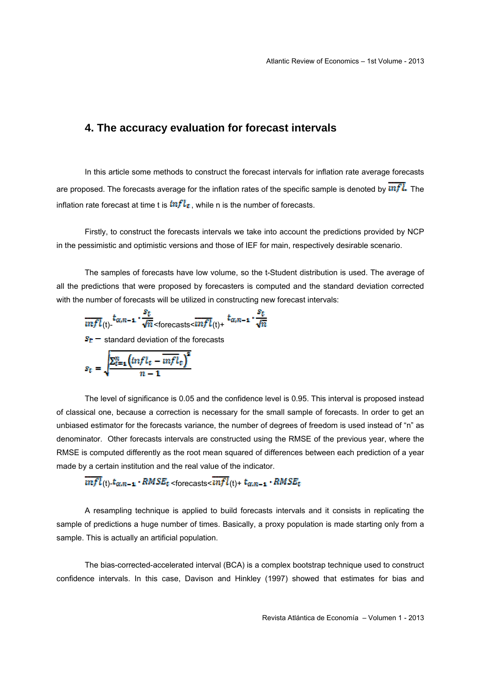#### **4. The accuracy evaluation for forecast intervals**

In this article some methods to construct the forecast intervals for inflation rate average forecasts are proposed. The forecasts average for the inflation rates of the specific sample is denoted by  $\overline{unfl.}$  The inflation rate forecast at time t is  $mfl_t$ , while n is the number of forecasts.

Firstly, to construct the forecasts intervals we take into account the predictions provided by NCP in the pessimistic and optimistic versions and those of IEF for main, respectively desirable scenario.

The samples of forecasts have low volume, so the t-Student distribution is used. The average of all the predictions that were proposed by forecasters is computed and the standard deviation corrected with the number of forecasts will be utilized in constructing new forecast intervals:

$$
\overline{unfl}(t) = \frac{t_{\alpha, n-1} \cdot \frac{s_t}{\sqrt{n}}}{s_t - \text{standard deviation of the forecasts}}
$$
\n
$$
s_t = \sqrt{\frac{\sum_{t=1}^n \left(\ln f l_t - \overline{unfl}_t\right)^2}{n-1}}
$$

The level of significance is 0.05 and the confidence level is 0.95. This interval is proposed instead of classical one, because a correction is necessary for the small sample of forecasts. In order to get an unbiased estimator for the forecasts variance, the number of degrees of freedom is used instead of "n" as denominator. Other forecasts intervals are constructed using the RMSE of the previous year, where the RMSE is computed differently as the root mean squared of differences between each prediction of a year made by a certain institution and the real value of the indicator.

 $\overline{unfl}(t)$ -  $t_{\alpha,n-1}$  -  $RMSE_t$  <forecasts <  $\overline{unfl}(t)$  +  $t_{\alpha,n-1}$  -  $RMSE_t$ 

A resampling technique is applied to build forecasts intervals and it consists in replicating the sample of predictions a huge number of times. Basically, a proxy population is made starting only from a sample. This is actually an artificial population.

The bias-corrected-accelerated interval (BCA) is a complex bootstrap technique used to construct confidence intervals. In this case, Davison and Hinkley (1997) showed that estimates for bias and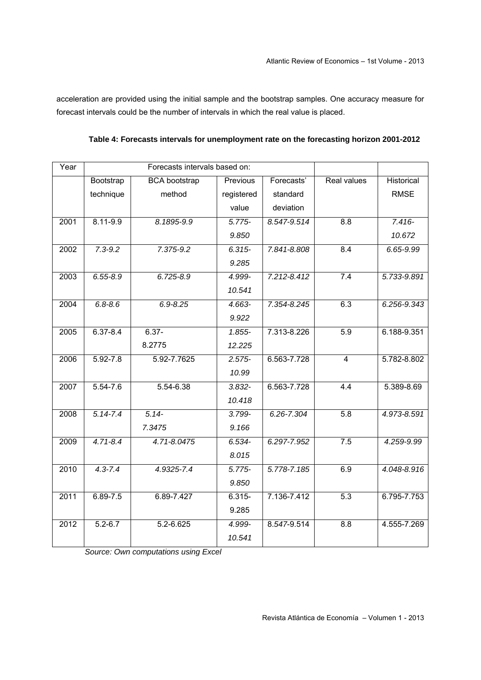acceleration are provided using the initial sample and the bootstrap samples. One accuracy measure for forecast intervals could be the number of intervals in which the real value is placed.

| Table 4: Forecasts intervals for unemployment rate on the forecasting horizon 2001-2012 |  |
|-----------------------------------------------------------------------------------------|--|
|-----------------------------------------------------------------------------------------|--|

| Year |                       | Forecasts intervals based on: |            |             |                    |             |
|------|-----------------------|-------------------------------|------------|-------------|--------------------|-------------|
|      | Bootstrap             | <b>BCA</b> bootstrap          | Previous   | Forecasts'  | <b>Real values</b> | Historical  |
|      | technique             | method                        | registered | standard    |                    | <b>RMSE</b> |
|      |                       |                               | value      | deviation   |                    |             |
| 2001 | $8.11 - 9.9$          | 8.1895-9.9                    | $5.775 -$  | 8.547-9.514 | 8.8                | $7.416 -$   |
|      |                       |                               | 9.850      |             |                    | 10.672      |
| 2002 | $7.3 - 9.2$           | 7.375-9.2                     | $6.315 -$  | 7.841-8.808 | 8.4                | 6.65-9.99   |
|      |                       |                               | 9.285      |             |                    |             |
| 2003 | $6.55 - 8.9$          | $6.725 - 8.9$                 | 4.999-     | 7.212-8.412 | 7.4                | 5.733-9.891 |
|      |                       |                               | 10.541     |             |                    |             |
| 2004 | $6.8 - 8.6$           | $6.9 - 8.25$                  | 4.663-     | 7.354-8.245 | 6.3                | 6.256-9.343 |
|      |                       |                               | 9.922      |             |                    |             |
| 2005 | $6.37 - 8.4$          | $6.37 -$                      | $1.855 -$  | 7.313-8.226 | 5.9                | 6.188-9.351 |
|      |                       | 8.2775                        | 12.225     |             |                    |             |
| 2006 | $5.92 - 7.8$          | 5.92-7.7625                   | $2.575 -$  | 6.563-7.728 | $\overline{4}$     | 5.782-8.802 |
|      |                       |                               | 10.99      |             |                    |             |
| 2007 | $\overline{5.54-7.6}$ | 5.54-6.38                     | $3.832 -$  | 6.563-7.728 | 4.4                | 5.389-8.69  |
|      |                       |                               | 10.418     |             |                    |             |
| 2008 | $5.14 - 7.4$          | $5.14 -$                      | 3.799-     | 6.26-7.304  | 5.8                | 4.973-8.591 |
|      |                       | 7.3475                        | 9.166      |             |                    |             |
| 2009 | $4.71 - 8.4$          | 4.71-8.0475                   | $6.534 -$  | 6.297-7.952 | 7.5                | 4.259-9.99  |
|      |                       |                               | 8.015      |             |                    |             |
| 2010 | $4.3 - 7.4$           | 4.9325-7.4                    | $5.775-$   | 5.778-7.185 | 6.9                | 4.048-8.916 |
|      |                       |                               | 9.850      |             |                    |             |
| 2011 | $6.89 - 7.5$          | 6.89-7.427                    | $6.315 -$  | 7.136-7.412 | 5.3                | 6.795-7.753 |
|      |                       |                               | 9.285      |             |                    |             |
| 2012 | $5.2 - 6.7$           | 5.2-6.625                     | 4.999-     | 8.547-9.514 | 8.8                | 4.555-7.269 |
|      |                       |                               | 10.541     |             |                    |             |

*Source: Own computations using Excel*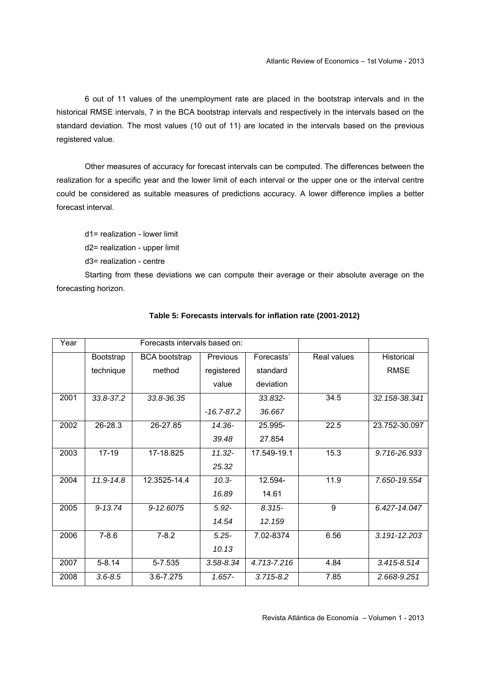6 out of 11 values of the unemployment rate are placed in the bootstrap intervals and in the historical RMSE intervals, 7 in the BCA bootstrap intervals and respectively in the intervals based on the standard deviation. The most values (10 out of 11) are located in the intervals based on the previous registered value.

Other measures of accuracy for forecast intervals can be computed. The differences between the realization for a specific year and the lower limit of each interval or the upper one or the interval centre could be considered as suitable measures of predictions accuracy. A lower difference implies a better forecast interval.

d1= realization - lower limit d2= realization - upper limit d3= realization - centre

Starting from these deviations we can compute their average or their absolute average on the forecasting horizon.

| Year |             | Forecasts intervals based on: |                |               |             |                   |
|------|-------------|-------------------------------|----------------|---------------|-------------|-------------------|
|      | Bootstrap   | <b>BCA</b> bootstrap          | Previous       | Forecasts'    | Real values | <b>Historical</b> |
|      | technique   | method                        | registered     | standard      |             | <b>RMSE</b>       |
|      |             |                               | value          | deviation     |             |                   |
| 2001 | 33.8-37.2   | 33.8-36.35                    |                | 33.832-       | 34.5        | 32.158-38.341     |
|      |             |                               | $-16.7 - 87.2$ | 36.667        |             |                   |
| 2002 | $26 - 28.3$ | 26-27.85                      | 14.36-         | 25.995-       | 22.5        | 23.752-30.097     |
|      |             |                               | 39.48          | 27.854        |             |                   |
| 2003 | $17 - 19$   | 17-18.825                     | $11.32 -$      | 17.549-19.1   | 15.3        | 9.716-26.933      |
|      |             |                               | 25.32          |               |             |                   |
| 2004 | 11.9-14.8   | 12.3525-14.4                  | $10.3 -$       | 12.594-       | 11.9        | 7.650-19.554      |
|      |             |                               | 16.89          | 14.61         |             |                   |
| 2005 | $9 - 13.74$ | 9-12.6075                     | $5.92 -$       | $8.315 -$     | 9           | 6.427-14.047      |
|      |             |                               | 14.54          | 12.159        |             |                   |
| 2006 | $7 - 8.6$   | $7 - 8.2$                     | $5.25 -$       | 7.02-8374     | 6.56        | 3.191-12.203      |
|      |             |                               | 10.13          |               |             |                   |
| 2007 | $5 - 8.14$  | 5-7.535                       | $3.58 - 8.34$  | 4.713-7.216   | 4.84        | 3.415-8.514       |
| 2008 | $3.6 - 8.5$ | 3.6-7.275                     | $1.657 -$      | $3.715 - 8.2$ | 7.85        | 2.668-9.251       |

#### **Table 5: Forecasts intervals for inflation rate (2001-2012)**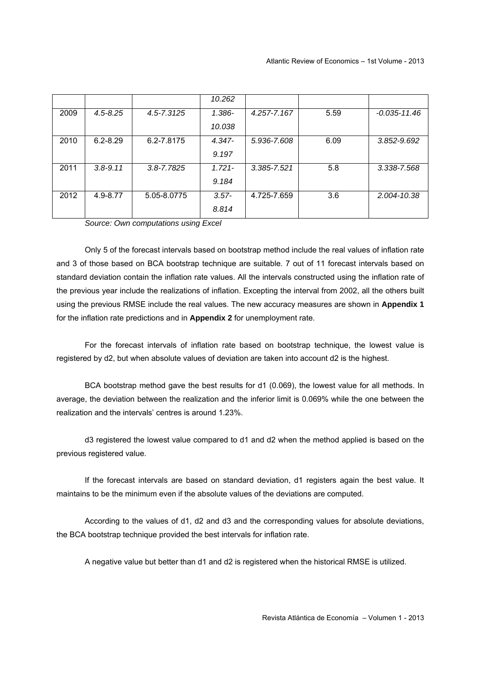|      |              |                | 10.262    |                 |      |                  |
|------|--------------|----------------|-----------|-----------------|------|------------------|
| 2009 | $4.5 - 8.25$ | 4.5-7.3125     | $1.386 -$ | 4.257-7.167     | 5.59 | $-0.035 - 11.46$ |
|      |              |                | 10.038    |                 |      |                  |
| 2010 | $6.2 - 8.29$ | 6.2-7.8175     | $4.347 -$ | 5.936-7.608     | 6.09 | 3.852-9.692      |
|      |              |                | 9.197     |                 |      |                  |
| 2011 | $3.8 - 9.11$ | $3.8 - 7.7825$ | $1.721 -$ | $3.385 - 7.521$ | 5.8  | 3.338-7.568      |
|      |              |                | 9.184     |                 |      |                  |
| 2012 | 4.9-8.77     | 5.05-8.0775    | $3.57 -$  | 4.725-7.659     | 3.6  | 2.004-10.38      |
|      |              |                | 8.814     |                 |      |                  |

*Source: Own computations using Excel* 

Only 5 of the forecast intervals based on bootstrap method include the real values of inflation rate and 3 of those based on BCA bootstrap technique are suitable. 7 out of 11 forecast intervals based on standard deviation contain the inflation rate values. All the intervals constructed using the inflation rate of the previous year include the realizations of inflation. Excepting the interval from 2002, all the others built using the previous RMSE include the real values. The new accuracy measures are shown in **Appendix 1** for the inflation rate predictions and in **Appendix 2** for unemployment rate.

For the forecast intervals of inflation rate based on bootstrap technique, the lowest value is registered by d2, but when absolute values of deviation are taken into account d2 is the highest.

BCA bootstrap method gave the best results for d1 (0.069), the lowest value for all methods. In average, the deviation between the realization and the inferior limit is 0.069% while the one between the realization and the intervals' centres is around 1.23%.

d3 registered the lowest value compared to d1 and d2 when the method applied is based on the previous registered value.

If the forecast intervals are based on standard deviation, d1 registers again the best value. It maintains to be the minimum even if the absolute values of the deviations are computed.

According to the values of d1, d2 and d3 and the corresponding values for absolute deviations, the BCA bootstrap technique provided the best intervals for inflation rate.

A negative value but better than d1 and d2 is registered when the historical RMSE is utilized.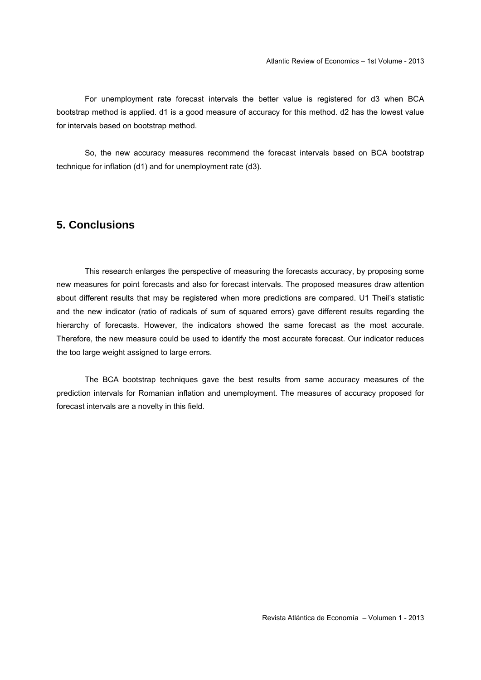For unemployment rate forecast intervals the better value is registered for d3 when BCA bootstrap method is applied. d1 is a good measure of accuracy for this method. d2 has the lowest value for intervals based on bootstrap method.

So, the new accuracy measures recommend the forecast intervals based on BCA bootstrap technique for inflation (d1) and for unemployment rate (d3).

#### **5. Conclusions**

This research enlarges the perspective of measuring the forecasts accuracy, by proposing some new measures for point forecasts and also for forecast intervals. The proposed measures draw attention about different results that may be registered when more predictions are compared. U1 Theil's statistic and the new indicator (ratio of radicals of sum of squared errors) gave different results regarding the hierarchy of forecasts. However, the indicators showed the same forecast as the most accurate. Therefore, the new measure could be used to identify the most accurate forecast. Our indicator reduces the too large weight assigned to large errors.

The BCA bootstrap techniques gave the best results from same accuracy measures of the prediction intervals for Romanian inflation and unemployment. The measures of accuracy proposed for forecast intervals are a novelty in this field.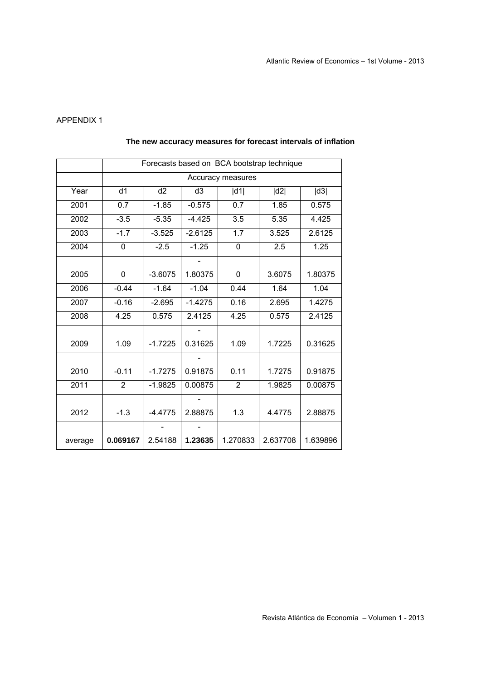#### APPENDIX 1

|         | Forecasts based on BCA bootstrap technique                    |           |           |                  |          |          |  |
|---------|---------------------------------------------------------------|-----------|-----------|------------------|----------|----------|--|
|         | Accuracy measures                                             |           |           |                  |          |          |  |
| Year    | d2<br>d <sub>1</sub><br>d <sub>3</sub><br> d2 <br> d3 <br> d1 |           |           |                  |          |          |  |
| 2001    | 0.7                                                           | $-1.85$   | $-0.575$  | 0.7              | 1.85     | 0.575    |  |
| 2002    | $-3.5$                                                        | $-5.35$   | $-4.425$  | 3.5              | 5.35     | 4.425    |  |
| 2003    | $-1.7$                                                        | $-3.525$  | $-2.6125$ | $\overline{1.7}$ | 3.525    | 2.6125   |  |
| 2004    | 0                                                             | $-2.5$    | $-1.25$   | 0                | 2.5      | 1.25     |  |
|         |                                                               |           |           |                  |          |          |  |
| 2005    | 0                                                             | $-3.6075$ | 1.80375   | 0                | 3.6075   | 1.80375  |  |
| 2006    | $-0.44$                                                       | $-1.64$   | $-1.04$   | 0.44             | 1.64     | 1.04     |  |
| 2007    | $-0.16$                                                       | $-2.695$  | $-1.4275$ | 0.16             | 2.695    | 1.4275   |  |
| 2008    | 4.25                                                          | 0.575     | 2.4125    | 4.25             | 0.575    | 2.4125   |  |
|         |                                                               |           |           |                  |          |          |  |
| 2009    | 1.09                                                          | $-1.7225$ | 0.31625   | 1.09             | 1.7225   | 0.31625  |  |
|         |                                                               |           |           |                  |          |          |  |
| 2010    | $-0.11$                                                       | $-1.7275$ | 0.91875   | 0.11             | 1.7275   | 0.91875  |  |
| 2011    | $\overline{2}$                                                | $-1.9825$ | 0.00875   | $\overline{2}$   | 1.9825   | 0.00875  |  |
|         |                                                               |           |           |                  |          |          |  |
| 2012    | $-1.3$                                                        | $-4.4775$ | 2.88875   | 1.3              | 4.4775   | 2.88875  |  |
|         |                                                               |           |           |                  |          |          |  |
| average | 0.069167                                                      | 2.54188   | 1.23635   | 1.270833         | 2.637708 | 1.639896 |  |

#### **The new accuracy measures for forecast intervals of inflation**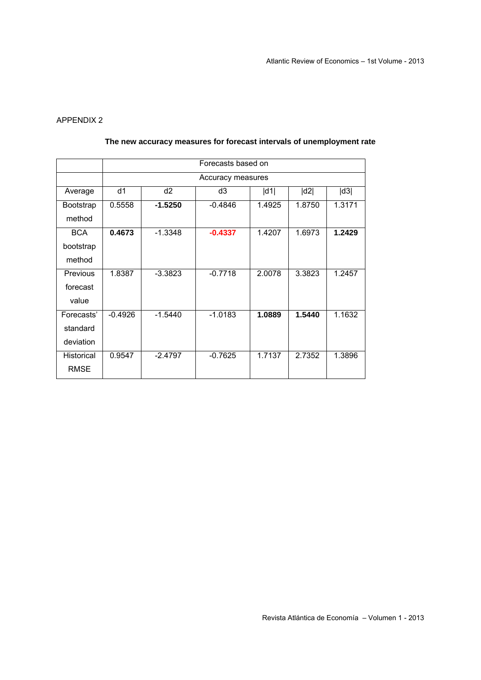#### APPENDIX 2

|             | Forecasts based on |                   |           |        |        |        |  |  |  |
|-------------|--------------------|-------------------|-----------|--------|--------|--------|--|--|--|
|             |                    | Accuracy measures |           |        |        |        |  |  |  |
| Average     | d1                 | d <sub>2</sub>    | d3        | d1     | d2     | d3     |  |  |  |
| Bootstrap   | 0.5558             | $-1.5250$         | $-0.4846$ | 1.4925 | 1.8750 | 1.3171 |  |  |  |
| method      |                    |                   |           |        |        |        |  |  |  |
| <b>BCA</b>  | 0.4673             | $-1.3348$         | $-0.4337$ | 1.4207 | 1.6973 | 1.2429 |  |  |  |
| bootstrap   |                    |                   |           |        |        |        |  |  |  |
| method      |                    |                   |           |        |        |        |  |  |  |
| Previous    | 1.8387             | $-3.3823$         | $-0.7718$ | 2.0078 | 3.3823 | 1.2457 |  |  |  |
| forecast    |                    |                   |           |        |        |        |  |  |  |
| value       |                    |                   |           |        |        |        |  |  |  |
| Forecasts'  | $-0.4926$          | $-1.5440$         | $-1.0183$ | 1.0889 | 1.5440 | 1.1632 |  |  |  |
| standard    |                    |                   |           |        |        |        |  |  |  |
| deviation   |                    |                   |           |        |        |        |  |  |  |
| Historical  | 0.9547             | $-2.4797$         | $-0.7625$ | 1.7137 | 2.7352 | 1.3896 |  |  |  |
| <b>RMSE</b> |                    |                   |           |        |        |        |  |  |  |

#### **The new accuracy measures for forecast intervals of unemployment rate**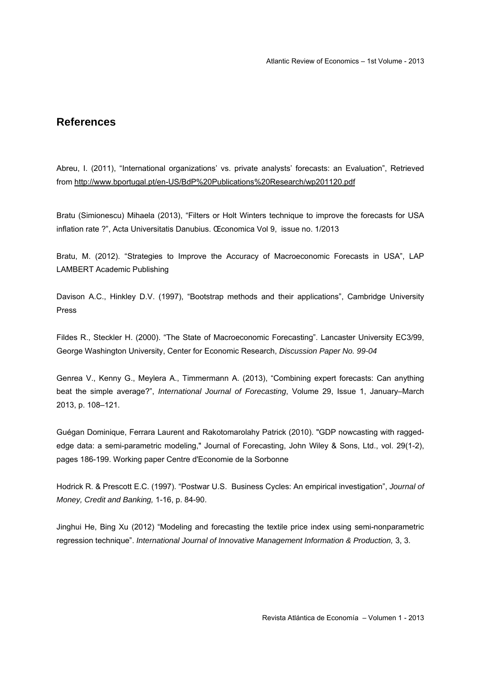#### **References**

Abreu, I. (2011), "International organizations' vs. private analysts' forecasts: an Evaluation", Retrieved from http://www.bportugal.pt/en-US/BdP%20Publications%20Research/wp201120.pdf

Bratu (Simionescu) Mihaela (2013), "Filters or Holt Winters technique to improve the forecasts for USA inflation rate ?", Acta Universitatis Danubius. Œconomica Vol 9, issue no. 1/2013

Bratu, M. (2012). "Strategies to Improve the Accuracy of Macroeconomic Forecasts in USA", LAP LAMBERT Academic Publishing

Davison A.C., Hinkley D.V. (1997), "Bootstrap methods and their applications", Cambridge University Press

Fildes R., Steckler H. (2000). "The State of Macroeconomic Forecasting". Lancaster University EC3/99, George Washington University, Center for Economic Research, *Discussion Paper No. 99-04*

Genrea V., Kenny G., Meylera A., Timmermann A. (2013), "Combining expert forecasts: Can anything beat the simple average?", *International Journal of Forecasting*, Volume 29, Issue 1, January–March 2013, p. 108–121.

Guégan Dominique, Ferrara Laurent and Rakotomarolahy Patrick (2010). "GDP nowcasting with raggededge data: a semi-parametric modeling," Journal of Forecasting, John Wiley & Sons, Ltd., vol. 29(1-2), pages 186-199. Working paper Centre d'Economie de la Sorbonne

Hodrick R. & Prescott E.C. (1997). "Postwar U.S. Business Cycles: An empirical investigation", *Journal of Money, Credit and Banking,* 1-16, p. 84-90.

Jinghui He, Bing Xu (2012) "Modeling and forecasting the textile price index using semi-nonparametric regression technique". *International Journal of Innovative Management Information & Production,* 3, 3.